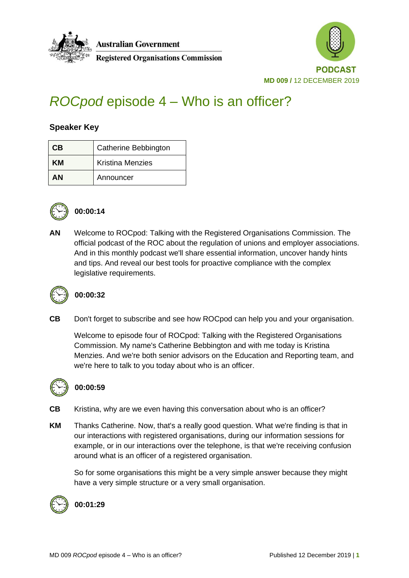



# *ROCpod* episode 4 – Who is an officer?

#### **Speaker Key**

| СB | Catherine Bebbington    |
|----|-------------------------|
| ĸм | <b>Kristina Menzies</b> |
| ΔN | Announcer               |



#### **00:00:14**

**AN** Welcome to ROCpod: Talking with the Registered Organisations Commission. The official podcast of the ROC about the regulation of unions and employer associations. And in this monthly podcast we'll share essential information, uncover handy hints and tips. And reveal our best tools for proactive compliance with the complex legislative requirements.



#### **00:00:32**

**CB** Don't forget to subscribe and see how ROCpod can help you and your organisation.

Welcome to episode four of ROCpod: Talking with the Registered Organisations Commission. My name's Catherine Bebbington and with me today is Kristina Menzies. And we're both senior advisors on the Education and Reporting team, and we're here to talk to you today about who is an officer.



#### **00:00:59**

- **CB** Kristina, why are we even having this conversation about who is an officer?
- **KM** Thanks Catherine. Now, that's a really good question. What we're finding is that in our interactions with registered organisations, during our information sessions for example, or in our interactions over the telephone, is that we're receiving confusion around what is an officer of a registered organisation.

So for some organisations this might be a very simple answer because they might have a very simple structure or a very small organisation.



**00:01:29**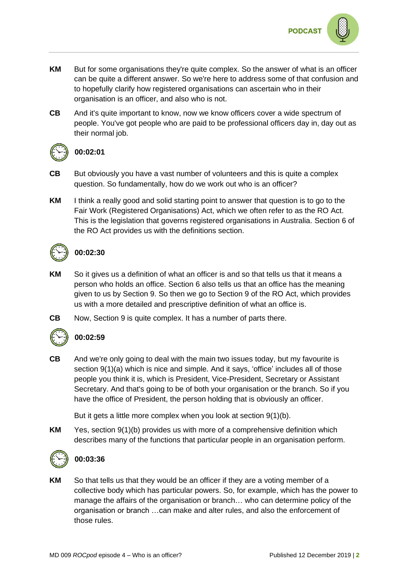

- **KM** But for some organisations they're quite complex. So the answer of what is an officer can be quite a different answer. So we're here to address some of that confusion and to hopefully clarify how registered organisations can ascertain who in their organisation is an officer, and also who is not.
- **CB** And it's quite important to know, now we know officers cover a wide spectrum of people. You've got people who are paid to be professional officers day in, day out as their normal job.



#### **00:02:01**

- **CB** But obviously you have a vast number of volunteers and this is quite a complex question. So fundamentally, how do we work out who is an officer?
- **KM** I think a really good and solid starting point to answer that question is to go to the Fair Work (Registered Organisations) Act, which we often refer to as the RO Act. This is the legislation that governs registered organisations in Australia. Section 6 of the RO Act provides us with the definitions section.



#### **00:02:30**

- **KM** So it gives us a definition of what an officer is and so that tells us that it means a person who holds an office. Section 6 also tells us that an office has the meaning given to us by Section 9. So then we go to Section 9 of the RO Act, which provides us with a more detailed and prescriptive definition of what an office is.
- **CB** Now, Section 9 is quite complex. It has a number of parts there.



#### **00:02:59**

**CB** And we're only going to deal with the main two issues today, but my favourite is section 9(1)(a) which is nice and simple. And it says, 'office' includes all of those people you think it is, which is President, Vice-President, Secretary or Assistant Secretary. And that's going to be of both your organisation or the branch. So if you have the office of President, the person holding that is obviously an officer.

But it gets a little more complex when you look at section 9(1)(b).

**KM** Yes, section 9(1)(b) provides us with more of a comprehensive definition which describes many of the functions that particular people in an organisation perform.



#### **00:03:36**

**KM** So that tells us that they would be an officer if they are a voting member of a collective body which has particular powers. So, for example, which has the power to manage the affairs of the organisation or branch… who can determine policy of the organisation or branch …can make and alter rules, and also the enforcement of those rules.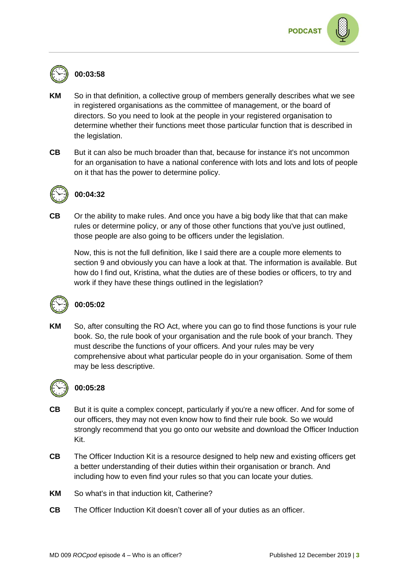

## **00:03:58**

- **KM** So in that definition, a collective group of members generally describes what we see in registered organisations as the committee of management, or the board of directors. So you need to look at the people in your registered organisation to determine whether their functions meet those particular function that is described in the legislation.
- **CB** But it can also be much broader than that, because for instance it's not uncommon for an organisation to have a national conference with lots and lots and lots of people on it that has the power to determine policy.



#### **00:04:32**

**CB** Or the ability to make rules. And once you have a big body like that that can make rules or determine policy, or any of those other functions that you've just outlined, those people are also going to be officers under the legislation.

Now, this is not the full definition, like I said there are a couple more elements to section 9 and obviously you can have a look at that. The information is available. But how do I find out, Kristina, what the duties are of these bodies or officers, to try and work if they have these things outlined in the legislation?



### **00:05:02**

**KM** So, after consulting the RO Act, where you can go to find those functions is your rule book. So, the rule book of your organisation and the rule book of your branch. They must describe the functions of your officers. And your rules may be very comprehensive about what particular people do in your organisation. Some of them may be less descriptive.



#### **00:05:28**

- **CB** But it is quite a complex concept, particularly if you're a new officer. And for some of our officers, they may not even know how to find their rule book. So we would strongly recommend that you go onto our website and download the Officer Induction Kit.
- **CB** The Officer Induction Kit is a resource designed to help new and existing officers get a better understanding of their duties within their organisation or branch. And including how to even find your rules so that you can locate your duties.
- **KM** So what's in that induction kit, Catherine?
- **CB** The Officer Induction Kit doesn't cover all of your duties as an officer.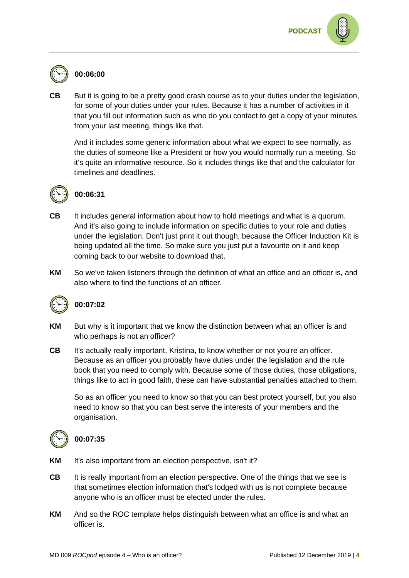

## **00:06:00**

**CB** But it is going to be a pretty good crash course as to your duties under the legislation, for some of your duties under your rules. Because it has a number of activities in it that you fill out information such as who do you contact to get a copy of your minutes from your last meeting, things like that.

And it includes some generic information about what we expect to see normally, as the duties of someone like a President or how you would normally run a meeting. So it's quite an informative resource. So it includes things like that and the calculator for timelines and deadlines.



## **00:06:31**

- **CB** It includes general information about how to hold meetings and what is a quorum. And it's also going to include information on specific duties to your role and duties under the legislation. Don't just print it out though, because the Officer Induction Kit is being updated all the time. So make sure you just put a favourite on it and keep coming back to our website to download that.
- **KM** So we've taken listeners through the definition of what an office and an officer is, and also where to find the functions of an officer.



#### **00:07:02**

- **KM** But why is it important that we know the distinction between what an officer is and who perhaps is not an officer?
- **CB** It's actually really important, Kristina, to know whether or not you're an officer. Because as an officer you probably have duties under the legislation and the rule book that you need to comply with. Because some of those duties, those obligations, things like to act in good faith, these can have substantial penalties attached to them.

So as an officer you need to know so that you can best protect yourself, but you also need to know so that you can best serve the interests of your members and the organisation.



#### **00:07:35**

- **KM** It's also important from an election perspective, isn't it?
- **CB** It is really important from an election perspective. One of the things that we see is that sometimes election information that's lodged with us is not complete because anyone who is an officer must be elected under the rules.
- **KM** And so the ROC template helps distinguish between what an office is and what an officer is.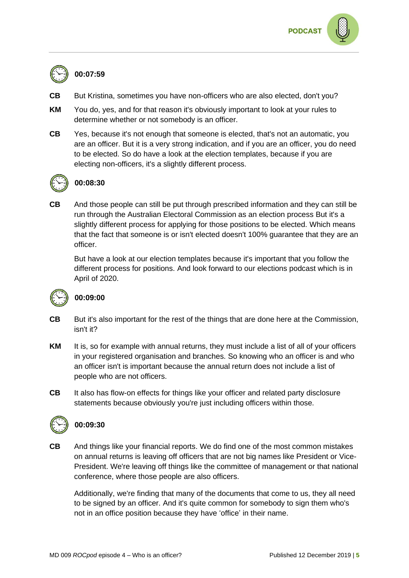## **00:07:59**

- **CB** But Kristina, sometimes you have non-officers who are also elected, don't you?
- **KM** You do, yes, and for that reason it's obviously important to look at your rules to determine whether or not somebody is an officer.
- **CB** Yes, because it's not enough that someone is elected, that's not an automatic, you are an officer. But it is a very strong indication, and if you are an officer, you do need to be elected. So do have a look at the election templates, because if you are electing non-officers, it's a slightly different process.



#### **00:08:30**

**CB** And those people can still be put through prescribed information and they can still be run through the Australian Electoral Commission as an election process But it's a slightly different process for applying for those positions to be elected. Which means that the fact that someone is or isn't elected doesn't 100% guarantee that they are an officer.

But have a look at our election templates because it's important that you follow the different process for positions. And look forward to our elections podcast which is in April of 2020.



#### **00:09:00**

- **CB** But it's also important for the rest of the things that are done here at the Commission, isn't it?
- **KM** It is, so for example with annual returns, they must include a list of all of your officers in your registered organisation and branches. So knowing who an officer is and who an officer isn't is important because the annual return does not include a list of people who are not officers.
- **CB** It also has flow-on effects for things like your officer and related party disclosure statements because obviously you're just including officers within those.



#### **00:09:30**

**CB** And things like your financial reports. We do find one of the most common mistakes on annual returns is leaving off officers that are not big names like President or Vice-President. We're leaving off things like the committee of management or that national conference, where those people are also officers.

Additionally, we're finding that many of the documents that come to us, they all need to be signed by an officer. And it's quite common for somebody to sign them who's not in an office position because they have 'office' in their name.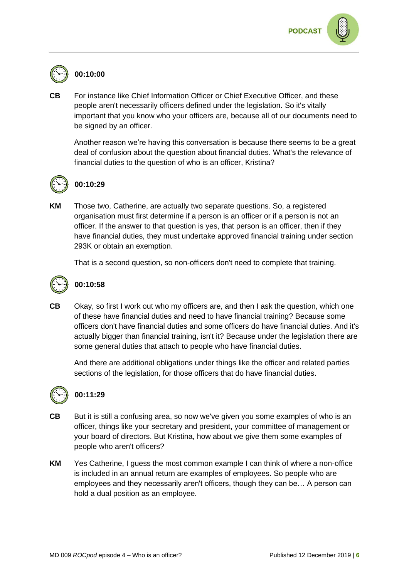

## **00:10:00**

**CB** For instance like Chief Information Officer or Chief Executive Officer, and these people aren't necessarily officers defined under the legislation. So it's vitally important that you know who your officers are, because all of our documents need to be signed by an officer.

Another reason we're having this conversation is because there seems to be a great deal of confusion about the question about financial duties. What's the relevance of financial duties to the question of who is an officer, Kristina?



#### **00:10:29**

**KM** Those two, Catherine, are actually two separate questions. So, a registered organisation must first determine if a person is an officer or if a person is not an officer. If the answer to that question is yes, that person is an officer, then if they have financial duties, they must undertake approved financial training under section 293K or obtain an exemption.

That is a second question, so non-officers don't need to complete that training.



## **00:10:58**

**CB** Okay, so first I work out who my officers are, and then I ask the question, which one of these have financial duties and need to have financial training? Because some officers don't have financial duties and some officers do have financial duties. And it's actually bigger than financial training, isn't it? Because under the legislation there are some general duties that attach to people who have financial duties.

And there are additional obligations under things like the officer and related parties sections of the legislation, for those officers that do have financial duties.



### **00:11:29**

- **CB** But it is still a confusing area, so now we've given you some examples of who is an officer, things like your secretary and president, your committee of management or your board of directors. But Kristina, how about we give them some examples of people who aren't officers?
- **KM** Yes Catherine, I guess the most common example I can think of where a non-office is included in an annual return are examples of employees. So people who are employees and they necessarily aren't officers, though they can be… A person can hold a dual position as an employee.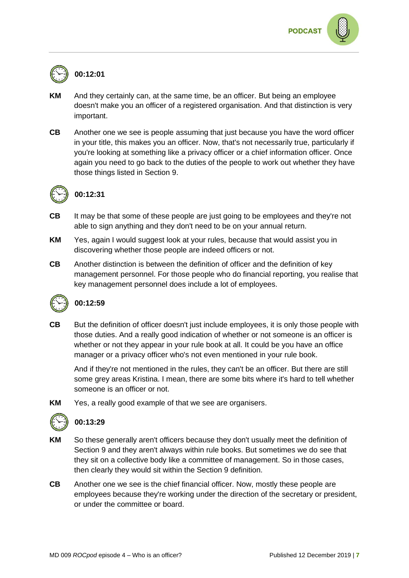

## **00:12:01**

- **KM** And they certainly can, at the same time, be an officer. But being an employee doesn't make you an officer of a registered organisation. And that distinction is very important.
- **CB** Another one we see is people assuming that just because you have the word officer in your title, this makes you an officer. Now, that's not necessarily true, particularly if you're looking at something like a privacy officer or a chief information officer. Once again you need to go back to the duties of the people to work out whether they have those things listed in Section 9.



## **00:12:31**

- **CB** It may be that some of these people are just going to be employees and they're not able to sign anything and they don't need to be on your annual return.
- **KM** Yes, again I would suggest look at your rules, because that would assist you in discovering whether those people are indeed officers or not.
- **CB** Another distinction is between the definition of officer and the definition of key management personnel. For those people who do financial reporting, you realise that key management personnel does include a lot of employees.



#### **00:12:59**

**CB** But the definition of officer doesn't just include employees, it is only those people with those duties. And a really good indication of whether or not someone is an officer is whether or not they appear in your rule book at all. It could be you have an office manager or a privacy officer who's not even mentioned in your rule book.

And if they're not mentioned in the rules, they can't be an officer. But there are still some grey areas Kristina. I mean, there are some bits where it's hard to tell whether someone is an officer or not.

**KM** Yes, a really good example of that we see are organisers.



#### **00:13:29**

- **KM** So these generally aren't officers because they don't usually meet the definition of Section 9 and they aren't always within rule books. But sometimes we do see that they sit on a collective body like a committee of management. So in those cases, then clearly they would sit within the Section 9 definition.
- **CB** Another one we see is the chief financial officer. Now, mostly these people are employees because they're working under the direction of the secretary or president, or under the committee or board.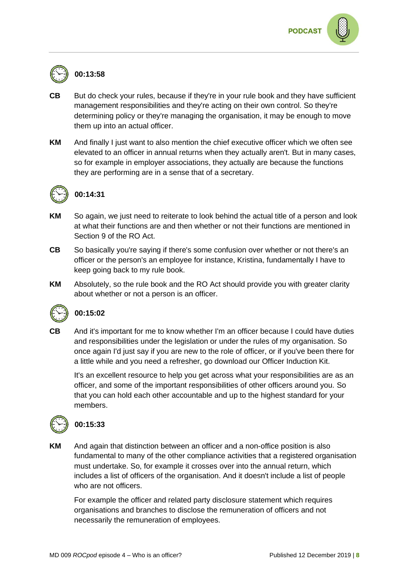

## **00:13:58**

- **CB** But do check your rules, because if they're in your rule book and they have sufficient management responsibilities and they're acting on their own control. So they're determining policy or they're managing the organisation, it may be enough to move them up into an actual officer.
- **KM** And finally I just want to also mention the chief executive officer which we often see elevated to an officer in annual returns when they actually aren't. But in many cases, so for example in employer associations, they actually are because the functions they are performing are in a sense that of a secretary.



## **00:14:31**

- **KM** So again, we just need to reiterate to look behind the actual title of a person and look at what their functions are and then whether or not their functions are mentioned in Section 9 of the RO Act.
- **CB** So basically you're saying if there's some confusion over whether or not there's an officer or the person's an employee for instance, Kristina, fundamentally I have to keep going back to my rule book.
- **KM** Absolutely, so the rule book and the RO Act should provide you with greater clarity about whether or not a person is an officer.



#### **00:15:02**

**CB** And it's important for me to know whether I'm an officer because I could have duties and responsibilities under the legislation or under the rules of my organisation. So once again I'd just say if you are new to the role of officer, or if you've been there for a little while and you need a refresher, go download our Officer Induction Kit.

It's an excellent resource to help you get across what your responsibilities are as an officer, and some of the important responsibilities of other officers around you. So that you can hold each other accountable and up to the highest standard for your members.



#### **00:15:33**

**KM** And again that distinction between an officer and a non-office position is also fundamental to many of the other compliance activities that a registered organisation must undertake. So, for example it crosses over into the annual return, which includes a list of officers of the organisation. And it doesn't include a list of people who are not officers.

For example the officer and related party disclosure statement which requires organisations and branches to disclose the remuneration of officers and not necessarily the remuneration of employees.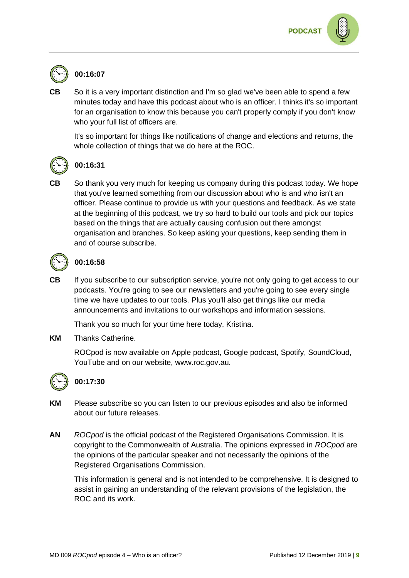

## **00:16:07**

**CB** So it is a very important distinction and I'm so glad we've been able to spend a few minutes today and have this podcast about who is an officer. I thinks it's so important for an organisation to know this because you can't properly comply if you don't know who your full list of officers are.

It's so important for things like notifications of change and elections and returns, the whole collection of things that we do here at the ROC.



## **00:16:31**

So thank you very much for keeping us company during this podcast today. We hope that you've learned something from our discussion about who is and who isn't an officer. Please continue to provide us with your questions and feedback. As we state at the beginning of this podcast, we try so hard to build our tools and pick our topics based on the things that are actually causing confusion out there amongst organisation and branches. So keep asking your questions, keep sending them in and of course subscribe.



## **00:16:58**

**CB** If you subscribe to our subscription service, you're not only going to get access to our podcasts. You're going to see our newsletters and you're going to see every single time we have updates to our tools. Plus you'll also get things like our media announcements and invitations to our workshops and information sessions.

Thank you so much for your time here today, Kristina.

**KM** Thanks Catherine.

ROCpod is now available on Apple podcast, Google podcast, Spotify, SoundCloud, YouTube and on our website, www.roc.gov.au.



## **00:17:30**

- **KM** Please subscribe so you can listen to our previous episodes and also be informed about our future releases.
- **AN** *ROCpod* is the official podcast of the Registered Organisations Commission. It is copyright to the Commonwealth of Australia. The opinions expressed in *ROCpod* are the opinions of the particular speaker and not necessarily the opinions of the Registered Organisations Commission.

This information is general and is not intended to be comprehensive. It is designed to assist in gaining an understanding of the relevant provisions of the legislation, the ROC and its work.